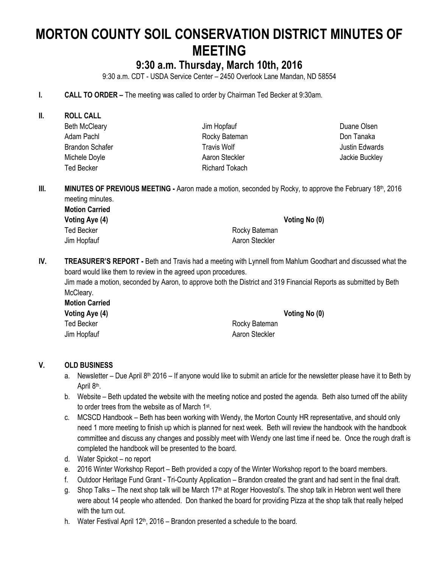# **MORTON COUNTY SOIL CONSERVATION DISTRICT MINUTES OF MEETING**

## **9:30 a.m. Thursday, March 10th, 2016**

9:30 a.m. CDT - USDA Service Center – 2450 Overlook Lane Mandan, ND 58554

- **I. CALL TO ORDER –** The meeting was called to order by Chairman Ted Becker at 9:30am.
- **II. ROLL CALL** Beth McCleary Adam Pachl Brandon Schafer Michele Doyle Ted Becker

Jim Hopfauf Rocky Bateman Travis Wolf Aaron Steckler Richard Tokach Duane Olsen Don Tanaka Justin Edwards Jackie Buckley

**III. MINUTES OF PREVIOUS MEETING -** Aaron made a motion, seconded by Rocky, to approve the February 18th, 2016 meeting minutes.

**Motion Carried Voting Aye (4) Voting No (0)** Ted Becker **Rocky** Bateman

Jim Hopfauf **Aaron Steckler** Aaron Steckler

**IV. TREASURER'S REPORT -** Beth and Travis had a meeting with Lynnell from Mahlum Goodhart and discussed what the board would like them to review in the agreed upon procedures.

Jim made a motion, seconded by Aaron, to approve both the District and 319 Financial Reports as submitted by Beth McCleary.

**Motion Carried** Ted Becker **Rocky** Bateman Jim Hopfauf **Aaron Steckler** Aaron Steckler

**Voting Aye (4) Voting No (0)**

#### **V. OLD BUSINESS**

- a. Newsletter Due April 8<sup>th</sup> 2016 If anyone would like to submit an article for the newsletter please have it to Beth by April 8<sup>th</sup>.
- b. Website Beth updated the website with the meeting notice and posted the agenda. Beth also turned off the ability to order trees from the website as of March 1<sup>st</sup>.
- c. MCSCD Handbook Beth has been working with Wendy, the Morton County HR representative, and should only need 1 more meeting to finish up which is planned for next week. Beth will review the handbook with the handbook committee and discuss any changes and possibly meet with Wendy one last time if need be. Once the rough draft is completed the handbook will be presented to the board.
- d. Water Spickot no report
- e. 2016 Winter Workshop Report Beth provided a copy of the Winter Workshop report to the board members.
- f. Outdoor Heritage Fund Grant Tri-County Application Brandon created the grant and had sent in the final draft.
- g. Shop Talks The next shop talk will be March  $17<sup>th</sup>$  at Roger Hoovestol's. The shop talk in Hebron went well there were about 14 people who attended. Don thanked the board for providing Pizza at the shop talk that really helped with the turn out.
- h. Water Festival April  $12<sup>th</sup>$ , 2016 Brandon presented a schedule to the board.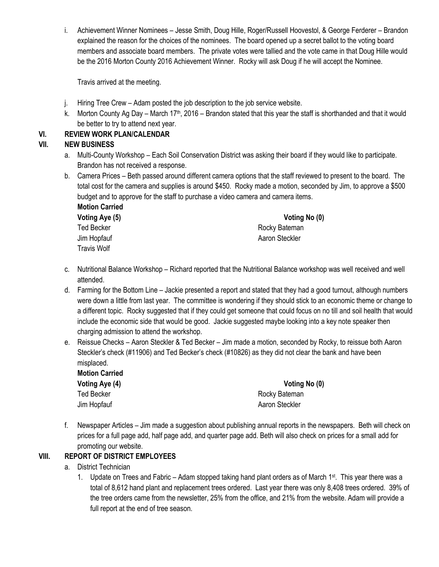i. Achievement Winner Nominees – Jesse Smith, Doug Hille, Roger/Russell Hoovestol, & George Ferderer – Brandon explained the reason for the choices of the nominees. The board opened up a secret ballot to the voting board members and associate board members. The private votes were tallied and the vote came in that Doug Hille would be the 2016 Morton County 2016 Achievement Winner. Rocky will ask Doug if he will accept the Nominee.

Travis arrived at the meeting.

- j. Hiring Tree Crew Adam posted the job description to the job service website.
- k. Morton County Ag Day March 17<sup>th</sup>, 2016 Brandon stated that this year the staff is shorthanded and that it would be better to try to attend next year.

#### **VI. REVIEW WORK PLAN/CALENDAR**

#### **VII. NEW BUSINESS**

- a. Multi-County Workshop Each Soil Conservation District was asking their board if they would like to participate. Brandon has not received a response.
- b. Camera Prices Beth passed around different camera options that the staff reviewed to present to the board. The total cost for the camera and supplies is around \$450. Rocky made a motion, seconded by Jim, to approve a \$500 budget and to approve for the staff to purchase a video camera and camera items. **Motion Carried**

| Voting Aye (5)     | Voting No (0)  |  |
|--------------------|----------------|--|
| <b>Ted Becker</b>  | Rocky Bateman  |  |
| Jim Hopfauf        | Aaron Steckler |  |
| <b>Travis Wolf</b> |                |  |

- c. Nutritional Balance Workshop Richard reported that the Nutritional Balance workshop was well received and well attended.
- d. Farming for the Bottom Line Jackie presented a report and stated that they had a good turnout, although numbers were down a little from last year. The committee is wondering if they should stick to an economic theme or change to a different topic. Rocky suggested that if they could get someone that could focus on no till and soil health that would include the economic side that would be good. Jackie suggested maybe looking into a key note speaker then charging admission to attend the workshop.
- e. Reissue Checks Aaron Steckler & Ted Becker Jim made a motion, seconded by Rocky, to reissue both Aaron Steckler's check (#11906) and Ted Becker's check (#10826) as they did not clear the bank and have been misplaced.

| <b>Motion Carried</b> |                |
|-----------------------|----------------|
| Voting Aye (4)        | Voting No (0)  |
| <b>Ted Becker</b>     | Rocky Bateman  |
| Jim Hopfauf           | Aaron Steckler |

f. Newspaper Articles – Jim made a suggestion about publishing annual reports in the newspapers. Beth will check on prices for a full page add, half page add, and quarter page add. Beth will also check on prices for a small add for promoting our website.

#### **VIII. REPORT OF DISTRICT EMPLOYEES**

- a. District Technician
	- 1. Update on Trees and Fabric Adam stopped taking hand plant orders as of March 1<sup>st</sup>. This year there was a total of 8,612 hand plant and replacement trees ordered. Last year there was only 8,408 trees ordered. 39% of the tree orders came from the newsletter, 25% from the office, and 21% from the website. Adam will provide a full report at the end of tree season.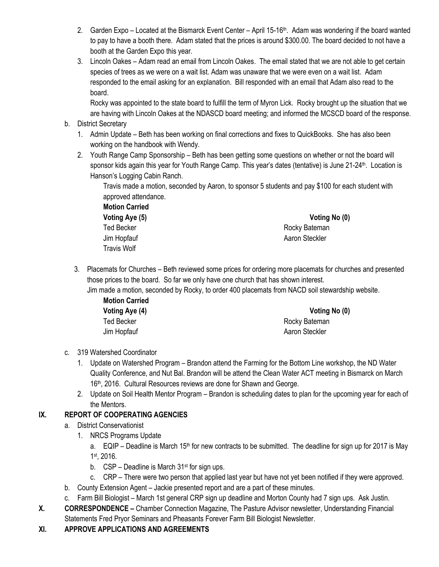- 2. Garden Expo Located at the Bismarck Event Center April 15-16<sup>th</sup>. Adam was wondering if the board wanted to pay to have a booth there. Adam stated that the prices is around \$300.00. The board decided to not have a booth at the Garden Expo this year.
- 3. Lincoln Oakes Adam read an email from Lincoln Oakes. The email stated that we are not able to get certain species of trees as we were on a wait list. Adam was unaware that we were even on a wait list. Adam responded to the email asking for an explanation. Bill responded with an email that Adam also read to the board.

Rocky was appointed to the state board to fulfill the term of Myron Lick. Rocky brought up the situation that we are having with Lincoln Oakes at the NDASCD board meeting; and informed the MCSCD board of the response.

- b. District Secretary
	- 1. Admin Update Beth has been working on final corrections and fixes to QuickBooks. She has also been working on the handbook with Wendy.
	- 2. Youth Range Camp Sponsorship Beth has been getting some questions on whether or not the board will sponsor kids again this year for Youth Range Camp. This year's dates (tentative) is June 21-24<sup>th</sup>. Location is Hanson's Logging Cabin Ranch.

Travis made a motion, seconded by Aaron, to sponsor 5 students and pay \$100 for each student with approved attendance.

**Motion Carried Voting Aye (5) Voting No (0)** Ted Becker **Rocky** Bateman Jim Hopfauf **Aaron Steckler** Aaron Steckler Travis Wolf

3. Placemats for Churches – Beth reviewed some prices for ordering more placemats for churches and presented those prices to the board. So far we only have one church that has shown interest.

Jim made a motion, seconded by Rocky, to order 400 placemats from NACD soil stewardship website.

| <b>Motion Carried</b> |                |
|-----------------------|----------------|
| Voting Aye (4)        | Voting No (0)  |
| Ted Becker            | Rocky Bateman  |
| Jim Hopfauf           | Aaron Steckler |

- c. 319 Watershed Coordinator
	- 1. Update on Watershed Program Brandon attend the Farming for the Bottom Line workshop, the ND Water Quality Conference, and Nut Bal. Brandon will be attend the Clean Water ACT meeting in Bismarck on March 16th, 2016. Cultural Resources reviews are done for Shawn and George.
	- 2. Update on Soil Health Mentor Program Brandon is scheduling dates to plan for the upcoming year for each of the Mentors.

#### **IX. REPORT OF COOPERATING AGENCIES**

- a. District Conservationist
	- 1. NRCS Programs Update
		- a. EQIP Deadline is March 15<sup>th</sup> for new contracts to be submitted. The deadline for sign up for 2017 is May 1 st, 2016.
		- b.  $CSP Deadline$  is March  $31<sup>st</sup>$  for sign ups.
		- c. CRP There were two person that applied last year but have not yet been notified if they were approved.
- b. County Extension Agent Jackie presented report and are a part of these minutes.
- c. Farm Bill Biologist March 1st general CRP sign up deadline and Morton County had 7 sign ups. Ask Justin.
- **X. CORRESPONDENCE –** Chamber Connection Magazine, The Pasture Advisor newsletter, Understanding Financial Statements Fred Pryor Seminars and Pheasants Forever Farm Bill Biologist Newsletter.

#### **XI. APPROVE APPLICATIONS AND AGREEMENTS**